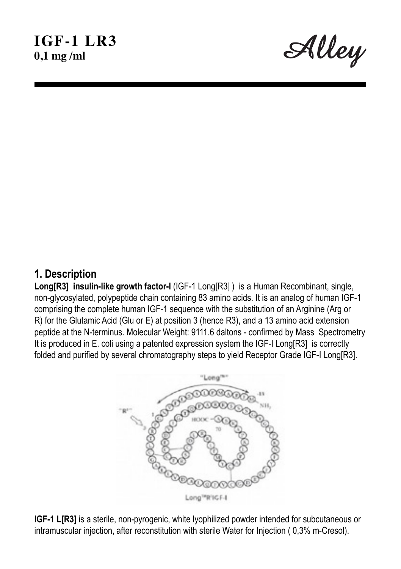Alley

## **1. Description**

**Long[R3] insulin-like growth factor-I** (IGF-1 Long[R3] ) is a Human Recombinant, single, non-glycosylated, polypeptide chain containing 83 amino acids. It is an analog of human IGF-1 comprising the complete human IGF-1 sequence with the substitution of an Arginine (Arg or R) for the Glutamic Acid (Glu or E) at position 3 (hence R3), and a 13 amino acid extension peptide at the N-terminus. Molecular Weight: 9111.6 daltons - confirmed by Mass Spectrometry It is produced in E. coli using a patented expression system the IGF-I Long[R3] is correctly folded and purified by several chromatography steps to yield Receptor Grade IGF-I Long[R3].



**IGF-1 L[R3]** is a sterile, non-pyrogenic, white lyophilized powder intended for subcutaneous or intramuscular injection, after reconstitution with sterile Water for Injection ( 0,3% m-Cresol).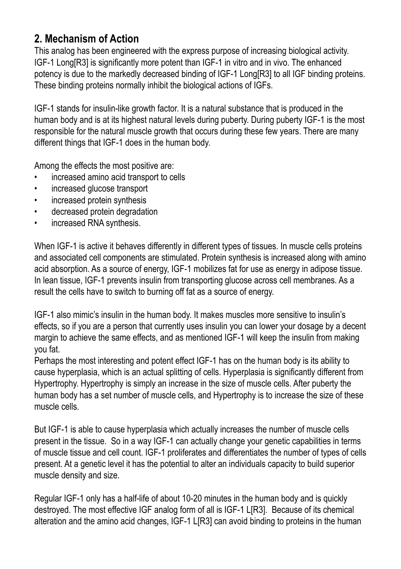# **2. Mechanism of Action**

This analog has been engineered with the express purpose of increasing biological activity. IGF-1 Long[R3] is significantly more potent than IGF-1 in vitro and in vivo. The enhanced potency is due to the markedly decreased binding of IGF-1 Long[R3] to all IGF binding proteins. These binding proteins normally inhibit the biological actions of IGFs.

IGF-1 stands for insulin-like growth factor. It is a natural substance that is produced in the human body and is at its highest natural levels during puberty. During puberty IGF-1 is the most responsible for the natural muscle growth that occurs during these few years. There are many different things that IGF-1 does in the human body.

Among the effects the most positive are:

- increased amino acid transport to cells
- increased glucose transport
- increased protein synthesis
- decreased protein degradation
- increased RNA synthesis.

When IGF-1 is active it behaves differently in different types of tissues. In muscle cells proteins and associated cell components are stimulated. Protein synthesis is increased along with amino acid absorption. As a source of energy, IGF-1 mobilizes fat for use as energy in adipose tissue. In lean tissue, IGF-1 prevents insulin from transporting glucose across cell membranes. As a result the cells have to switch to burning off fat as a source of energy.

IGF-1 also mimic's insulin in the human body. It makes muscles more sensitive to insulin's effects, so if you are a person that currently uses insulin you can lower your dosage by a decent margin to achieve the same effects, and as mentioned IGF-1 will keep the insulin from making you fat.

Perhaps the most interesting and potent effect IGF-1 has on the human body is its ability to cause hyperplasia, which is an actual splitting of cells. Hyperplasia is significantly different from Hypertrophy. Hypertrophy is simply an increase in the size of muscle cells. After puberty the human body has a set number of muscle cells, and Hypertrophy is to increase the size of these muscle cells.

But IGF-1 is able to cause hyperplasia which actually increases the number of muscle cells present in the tissue. So in a way IGF-1 can actually change your genetic capabilities in terms of muscle tissue and cell count. IGF-1 proliferates and differentiates the number of types of cells present. At a genetic level it has the potential to alter an individuals capacity to build superior muscle density and size.

Regular IGF-1 only has a half-life of about 10-20 minutes in the human body and is quickly destroyed. The most effective IGF analog form of all is IGF-1 L[R3]. Because of its chemical alteration and the amino acid changes, IGF-1 L[R3] can avoid binding to proteins in the human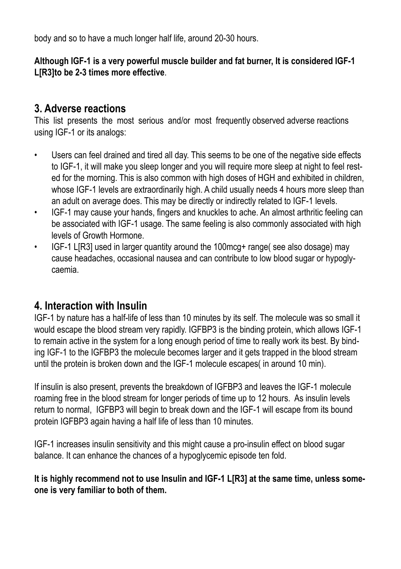body and so to have a much longer half life, around 20-30 hours.

**Although IGF-1 is a very powerful muscle builder and fat burner, It is considered IGF-1 L[R3]to be 2-3 times more effective**.

## **3. Adverse reactions**

This list presents the most serious and/or most frequently observed adverse reactions using IGF-1 or its analogs:

- Users can feel drained and tired all day. This seems to be one of the negative side effects to IGF-1, it will make you sleep longer and you will require more sleep at night to feel rested for the morning. This is also common with high doses of HGH and exhibited in children, whose IGF-1 levels are extraordinarily high. A child usually needs 4 hours more sleep than an adult on average does. This may be directly or indirectly related to IGF-1 levels.
- IGF-1 may cause your hands, fingers and knuckles to ache. An almost arthritic feeling can be associated with IGF-1 usage. The same feeling is also commonly associated with high levels of Growth Hormone.
- IGF-1 L[R3] used in larger quantity around the 100mcg+ range( see also dosage) may cause headaches, occasional nausea and can contribute to low blood sugar or hypoglycaemia.

## **4. Interaction with Insulin**

IGF-1 by nature has a half-life of less than 10 minutes by its self. The molecule was so small it would escape the blood stream very rapidly. IGFBP3 is the binding protein, which allows IGF-1 to remain active in the system for a long enough period of time to really work its best. By binding IGF-1 to the IGFBP3 the molecule becomes larger and it gets trapped in the blood stream until the protein is broken down and the IGF-1 molecule escapes( in around 10 min).

If insulin is also present, prevents the breakdown of IGFBP3 and leaves the IGF-1 molecule roaming free in the blood stream for longer periods of time up to 12 hours. As insulin levels return to normal, IGFBP3 will begin to break down and the IGF-1 will escape from its bound protein IGFBP3 again having a half life of less than 10 minutes.

IGF-1 increases insulin sensitivity and this might cause a pro-insulin effect on blood sugar balance. It can enhance the chances of a hypoglycemic episode ten fold.

**It is highly recommend not to use Insulin and IGF-1 L[R3] at the same time, unless someone is very familiar to both of them.**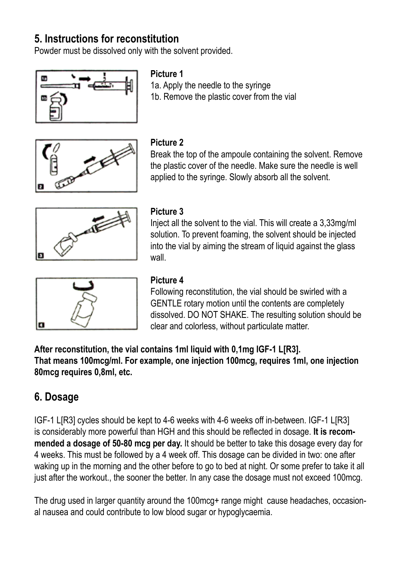# **5. Instructions for reconstitution**

Powder must be dissolved only with the solvent provided.



#### **Picture 1**

1a. Apply the needle to the syringe 1b. Remove the plastic cover from the vial



#### **Picture 2**

Break the top of the ampoule containing the solvent. Remove the plastic cover of the needle. Make sure the needle is well applied to the syringe. Slowly absorb all the solvent.



### **Picture 3**

Inject all the solvent to the vial. This will create a 3,33mg/ml solution. To prevent foaming, the solvent should be injected into the vial by aiming the stream of liquid against the glass wall



### **Picture 4**

Following reconstitution, the vial should be swirled with a GENTLE rotary motion until the contents are completely dissolved. DO NOT SHAKE. The resulting solution should be clear and colorless, without particulate matter.

**After reconstitution, the vial contains 1ml liquid with 0,1mg IGF-1 L[R3]. That means 100mcg/ml. For example, one injection 100mcg, requires 1ml, one injection 80mcg requires 0,8ml, etc.**

# **6. Dosage**

IGF-1 L[R3] cycles should be kept to 4-6 weeks with 4-6 weeks off in-between. IGF-1 L[R3] is considerably more powerful than HGH and this should be reflected in dosage. **It is recommended a dosage of 50-80 mcg per day.** It should be better to take this dosage every day for 4 weeks. This must be followed by a 4 week off. This dosage can be divided in two: one after waking up in the morning and the other before to go to bed at night. Or some prefer to take it all just after the workout., the sooner the better. In any case the dosage must not exceed 100mcg.

The drug used in larger quantity around the 100mcg+ range might cause headaches, occasional nausea and could contribute to low blood sugar or hypoglycaemia.